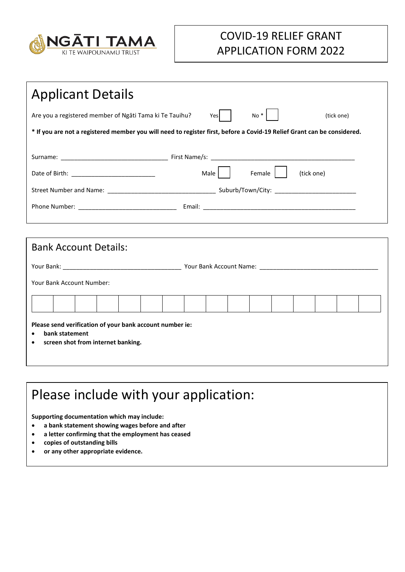

## COVID-19 RELIEF GRANT APPLICATION FORM 2022

| <b>Applicant Details</b>                                                                                                |  |  |  |  |  |
|-------------------------------------------------------------------------------------------------------------------------|--|--|--|--|--|
| $No *$<br>$Yes$  <br>Are you a registered member of Ngati Tama ki Te Tauihu?<br>(tick one)                              |  |  |  |  |  |
| * If you are not a registered member you will need to register first, before a Covid-19 Relief Grant can be considered. |  |  |  |  |  |
|                                                                                                                         |  |  |  |  |  |
| Male   Female    <br>(tick one)                                                                                         |  |  |  |  |  |
|                                                                                                                         |  |  |  |  |  |
|                                                                                                                         |  |  |  |  |  |
|                                                                                                                         |  |  |  |  |  |
| <b>Bank Account Details:</b>                                                                                            |  |  |  |  |  |
|                                                                                                                         |  |  |  |  |  |
| Your Bank Account Number:                                                                                               |  |  |  |  |  |
|                                                                                                                         |  |  |  |  |  |
| Please send verification of your bank account number ie:<br>bank statement<br>screen shot from internet banking.        |  |  |  |  |  |

## Please include with your application:

**Supporting documentation which may include:**

- **a bank statement showing wages before and after**
- **a letter confirming that the employment has ceased**
- **copies of outstanding bills**
- **or any other appropriate evidence.**